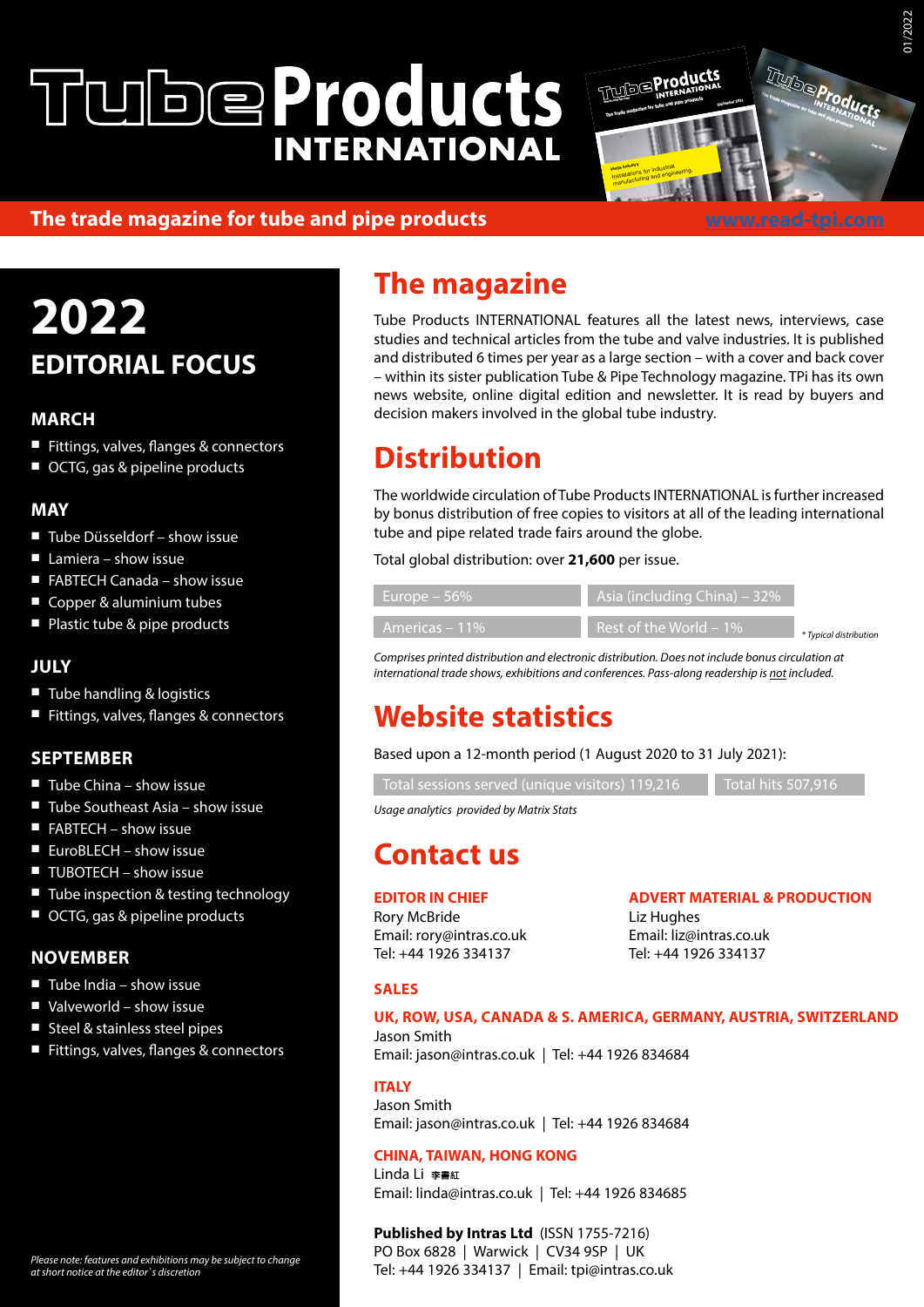# **WheProducts INTERNATIONAL**



welding techniques and in materials engineering.

## **The trade magazine for tube and pipe products**

<u>www.read</u> <u>buttung is on</u> steels. Our core competences are in forming and

# **2022 EDITORIAL FOCUS**

## **MARCH**

- Fittings, valves, flanges & connectors
- OCTG, gas & pipeline products

## **MAY**

- Tube Düsseldorf show issue
- Lamiera show issue
- FABTECH Canada show issue
- Copper & aluminium tubes
- Plastic tube & pipe products

## **JULY**

- Tube handling & logistics
- Fittings, valves, flanges & connectors

## **SEPTEMBER**

- $\blacksquare$  Tube China show issue
- Tube Southeast Asia show issue
- FABTECH show issue
- $\blacksquare$  FuroBLECH show issue
- TUBOTECH show issue
- Tube inspection & testing technology
- OCTG, gas & pipeline products

## **NOVEMBER**

- $\blacksquare$  Tube India show issue
- Valveworld show issue
- Steel & stainless steel pipes
- Fittings, valves, flanges & connectors

# **The magazine**

Tube Products INTERNATIONAL features all the latest news, interviews, case studies and technical articles from the tube and valve industries. It is published and distributed 6 times per year as a large section – with a cover and back cover – within its sister publication Tube & Pipe Technology magazine. TPi has its own news website, online digital edition and newsletter. It is read by buyers and decision makers involved in the global tube industry.

## **Distribution**

The worldwide circulation of Tube Products INTERNATIONAL is further increased by bonus distribution of free copies to visitors at all of the leading international tube and pipe related trade fairs around the globe.

Total global distribution: over **21,600** per issue.

| Europe $-56\%$ | Asia (including China) – 32%                         |                        |
|----------------|------------------------------------------------------|------------------------|
| Americas – 11% | $\blacksquare$ Rest of the World – 1% $\blacksquare$ | * Typical distribution |

*Comprises printed distribution and electronic distribution. Does not include bonus circulation at international trade shows, exhibitions and conferences. Pass-along readership is not included.*

## **Website statistics**

Based upon a 12-month period (1 August 2020 to 31 July 2021):

Total sessions served (unique visitors) 119,216 Total hits 507,916

*Usage analytics provided by Matrix Stats*

## **Contact us**

**EDITOR IN CHIEF**

Rory McBride Email: rory@intras.co.uk Tel: +44 1926 334137

**ADVERT MATERIAL & PRODUCTION** Liz Hughes Email: liz@intras.co.uk Tel: +44 1926 334137

## **SALES**

## **UK, ROW, USA, CANADA & S. AMERICA, GERMANY, AUSTRIA, SWITZERLAND**

Jason Smith Email: jason@intras.co.uk | Tel: +44 1926 834684

### **ITALY**

Jason Smith Email: jason@intras.co.uk | Tel: +44 1926 834684

## **CHINA, TAIWAN, HONG KONG**

**Linda Li 李書紅** Email: linda@intras.co.uk | Tel: +44 1926 834685

#### **Published by Intras Ltd** (ISSN 1755-7216) PO Box 6828 | Warwick | CV34 9SP | UK

Tel: +44 1926 334137 | Email: tpi@intras.co.uk